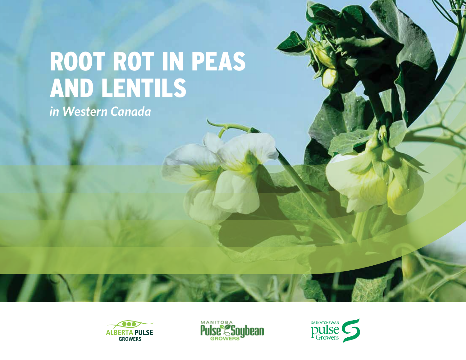# ROOT ROT IN PEAS AND LENTILS

*in Western Canada*





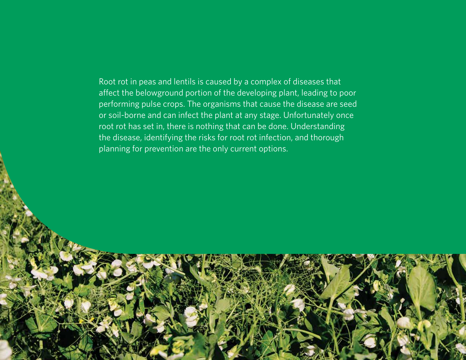Root rot in peas and lentils is caused by a complex of diseases that affect the belowground portion of the developing plant, leading to poor performing pulse crops. The organisms that cause the disease are seed or soil-borne and can infect the plant at any stage. Unfortunately once root rot has set in, there is nothing that can be done. Understanding the disease, identifying the risks for root rot infection, and thorough planning for prevention are the only current options.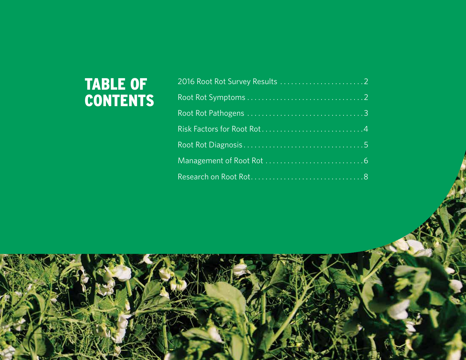# TABLE OF CONTENTS

| 2016 Root Rot Survey Results 2 |
|--------------------------------|
|                                |
|                                |
|                                |
|                                |
|                                |
|                                |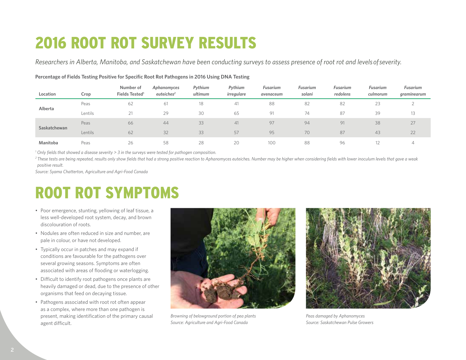# 2016 ROOT ROT SURVEY RESULTS

*Researchers in Alberta, Manitoba, and Saskatchewan have been conducting surveys to assess presence of root rot and levels of severity.*

| Location     | Crop    | Number of<br>Fields Tested <sup>1</sup> | Aphanomyces<br>euteiches <sup>2</sup> | Pythium<br>ultimum | Pythium<br>irregulare | <b>Fusarium</b><br>avenaceum | <b>Fusarium</b><br>solani | Fusarium<br>redolens | Fusarium<br>culmorum | Fusarium<br>graminearum |
|--------------|---------|-----------------------------------------|---------------------------------------|--------------------|-----------------------|------------------------------|---------------------------|----------------------|----------------------|-------------------------|
| Alberta      | Peas    | 62                                      | 61                                    | 18                 | 41                    | 88                           | 82                        | 82                   | 23                   |                         |
|              | Lentils | 21                                      | 29                                    | 30                 | 65                    | 91                           | 74                        | 87                   | 39                   | 13                      |
| Saskatchewan | Peas    | 66                                      | 44                                    | 33                 | 41                    | 97                           | 94                        | 91                   | 38                   | 27                      |
|              | Lentils | 62                                      | 32                                    | 33                 | 57                    | 95                           | 70                        | 87                   | 43                   | 22                      |
| Manitoba     | Peas    | 26                                      | 58                                    | 28                 | 20                    | 100                          | 88                        | 96                   |                      | ∸                       |

#### **Percentage of Fields Testing Positive for Specific Root Rot Pathogens in 2016 Using DNA Testing**

*1 Only fields that showed a disease severity > 3 in the surveys were tested for pathogen composition.*

<sup>2</sup> These tests are being repeated, results only show fields that had a strong positive reaction to Aphanomyces euteiches. Number may be higher when considering fields with lower inoculum levels that gave a weak *positive result.*

*Source: Syama Chatterton, Agriculture and Agri-Food Canada*

# ROOT ROT SYMPTOMS

- Poor emergence, stunting, yellowing of leaf tissue, a less well-developed root system, decay, and brown discolouration of roots.
- Nodules are often reduced in size and number, are pale in colour, or have not developed.
- Typically occur in patches and may expand if conditions are favourable for the pathogens over several growing seasons. Symptoms are often associated with areas of flooding or waterlogging.
- Difficult to identify root pathogens once plants are heavily damaged or dead, due to the presence of other organisms that feed on decaying tissue.
- Pathogens associated with root rot often appear as a complex, where more than one pathogen is present, making identification of the primary causal agent difficult.



*Browning of belowground portion of pea plants Source: Agriculture and Agri-Food Canada*



*Peas damaged by Aphanomyces Source: Saskatchewan Pulse Growers*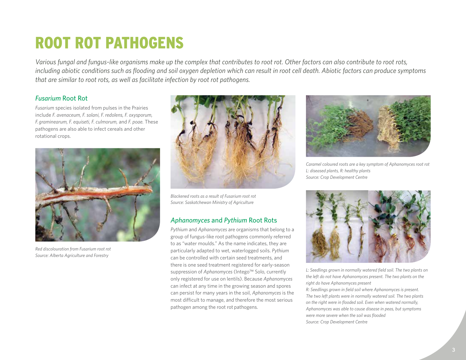# ROOT ROT PATHOGENS

*Various fungal and fungus-like organisms make up the complex that contributes to root rot. Other factors can also contribute to root rots, including abiotic conditions such as flooding and soil oxygen depletion which can result in root cell death. Abiotic factors can produce symptoms that are similar to root rots, as well as facilitate infection by root rot pathogens.*

### *Fusarium* Root Rot

*Fusarium* species isolated from pulses in the Prairies include *F. avenaceum, F. solani, F. redolens, F. oxysporum, F. graminearum, F. equiseti, F. culmorum,* and *F. poae.* These pathogens are also able to infect cereals and other rotational crops.



*Red discolouration from Fusarium root rot Source: Alberta Agriculture and Forestry*



*Blackened roots as a result of Fusarium root rot Source: Saskatchewan Ministry of Agriculture*

### *Aphanomyces* and *Pythium* Root Rots

*Pythium* and *Aphanomyces* are organisms that belong to a group of fungus-like root pathogens commonly referred to as "water moulds." As the name indicates, they are particularly adapted to wet, waterlogged soils. *Pythium*  can be controlled with certain seed treatments, and there is one seed treatment registered for early-season suppression of *Aphanomyces* (Intego™ Solo, currently only registered for use on lentils). Because *Aphanomyces* can infect at any time in the growing season and spores can persist for many years in the soil, *Aphanomyces* is the most difficult to manage, and therefore the most serious pathogen among the root rot pathogens.



*Caramel coloured roots are a key symptom of Aphanomyces root rot L: diseased plants, R: healthy plants Source: Crop Development Centre*



*L: Seedlings grown in normally watered field soil. The two plants on the left do not have Aphanomyces present. The two plants on the right do have Aphanomyces present*

*R: Seedlings grown in field soil where Aphanomyces is present. The two left plants were in normally watered soil. The two plants on the right were in flooded soil. Even when watered normally, Aphanomyces was able to cause disease in peas, but symptoms were more severe when the soil was flooded Source: Crop Development Centre*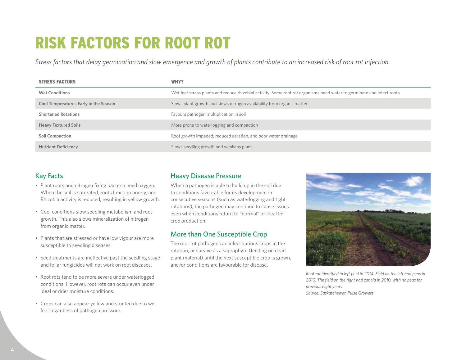# RISK FACTORS FOR ROOT ROT

*Stress factors that delay germination and slow emergence and growth of plants contribute to an increased risk of root rot infection.*

| <b>STRESS FACTORS</b>                        | WHY?                                                                                                                   |
|----------------------------------------------|------------------------------------------------------------------------------------------------------------------------|
| <b>Wet Conditions</b>                        | Wet feet stress plants and reduce rhizobial activity. Some root rot organisms need water to germinate and infect roots |
| <b>Cool Temperatures Early in the Season</b> | Slows plant growth and slows nitrogen availability from organic matter                                                 |
| <b>Shortened Rotations</b>                   | Favours pathogen multiplication in soil                                                                                |
| <b>Heavy Textured Soils</b>                  | More prone to waterlogging and compaction                                                                              |
| Soil Compaction                              | Root growth impeded, reduced aeration, and poor water drainage                                                         |
| <b>Nutrient Deficiency</b>                   | Slows seedling growth and weakens plant                                                                                |

## Key Facts

- Plant roots and nitrogen fixing bacteria need oxygen. When the soil is saturated, roots function poorly, and Rhizobia activity is reduced, resulting in yellow growth.
- Cool conditions slow seedling metabolism and root growth. This also slows mineralization of nitrogen from organic matter.
- Plants that are stressed or have low vigour are more susceptible to seedling diseases.
- Seed treatments are ineffective past the seedling stage and foliar fungicides will not work on root diseases.
- Root rots tend to be more severe under waterlogged conditions. However, root rots can occur even under ideal or drier moisture conditions.
- Crops can also appear yellow and stunted due to wet feet regardless of pathogen pressure.

### Heavy Disease Pressure

When a pathogen is able to build up in the soil due to conditions favourable for its development in consecutive seasons (such as waterlogging and tight rotations), the pathogen may continue to cause issues even when conditions return to "normal" or ideal for crop production.

# More than One Susceptible Crop

The root rot pathogen can infect various crops in the rotation, or survive as a saprophyte (feeding on dead plant material) until the next susceptible crop is grown, and/or conditions are favourable for disease.



*Root rot identified in left field in 2014. Field on the left had peas in 2010. The field on the right had canola in 2010, with no peas for previous eight years Source: Saskatchewan Pulse Growers*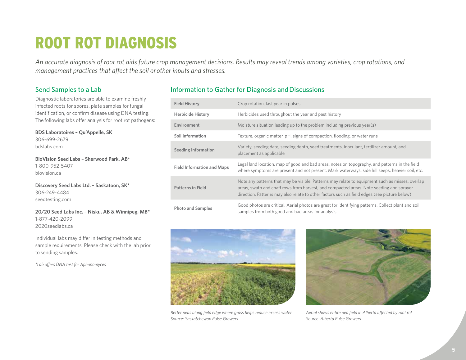# ROOT ROT DIAGNOSIS

*An accurate diagnosis of root rot aids future crop management decisions. Results may reveal trends among varieties, crop rotations, and management practices that affect the soil or other inputs and stresses.*

### Send Samples to a Lab

Diagnostic laboratories are able to examine freshly infected roots for spores, plate samples for fungal identification, or confirm disease using DNA testing. The following labs offer analysis for root rot pathogens:

**BDS Laboratoires – Qu'Appelle, SK** 306-699-2679 bdslabs.com

**BioVision Seed Labs – Sherwood Park, AB\*** 1-800-952-5407 biovision.ca

**Discovery Seed Labs Ltd. – Saskatoon, SK\*** 306-249-4484 seedtesting.com

**20/20 Seed Labs Inc. – Nisku, AB & Winnipeg, MB\*** 1-877-420-2099 2020seedlabs.ca

Individual labs may differ in testing methods and sample requirements. Please check with the lab prior to sending samples.

*\*Lab offers DNA test for Aphanomyces*

# Information to Gather for Diagnosis and Discussions

| <b>Field History</b>              | Crop rotation, last year in pulses                                                                                                                                                                                                                                                         |
|-----------------------------------|--------------------------------------------------------------------------------------------------------------------------------------------------------------------------------------------------------------------------------------------------------------------------------------------|
| <b>Herbicide History</b>          | Herbicides used throughout the year and past history                                                                                                                                                                                                                                       |
| Environment                       | Moisture situation leading up to the problem including previous year(s)                                                                                                                                                                                                                    |
| <b>Soil Information</b>           | Texture, organic matter, pH, signs of compaction, flooding, or water runs                                                                                                                                                                                                                  |
| <b>Seeding Information</b>        | Variety, seeding date, seeding depth, seed treatments, inoculant, fertilizer amount, and<br>placement as applicable                                                                                                                                                                        |
| <b>Field Information and Maps</b> | Legal land location, map of good and bad areas, notes on topography, and patterns in the field<br>where symptoms are present and not present. Mark waterways, side hill seeps, heavier soil, etc.                                                                                          |
| <b>Patterns in Field</b>          | Note any patterns that may be visible. Patterns may relate to equipment such as misses, overlap<br>areas, swath and chaff rows from harvest, and compacted areas. Note seeding and sprayer<br>direction. Patterns may also relate to other factors such as field edges (see picture below) |
| <b>Photo and Samples</b>          | Good photos are critical. Aerial photos are great for identifying patterns. Collect plant and soil<br>samples from both good and bad areas for analysis                                                                                                                                    |



*Better peas along field edge where grass helps reduce excess water Source: Saskatchewan Pulse Growers*



*Aerial shows entire pea field in Alberta affected by root rot Source: Alberta Pulse Growers*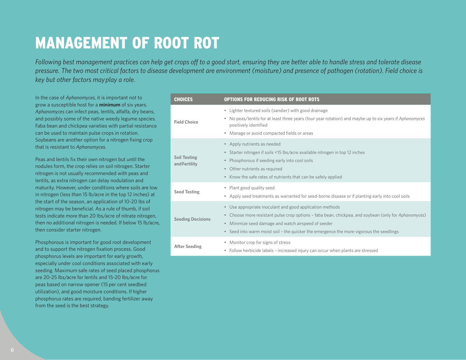# MANAGEMENT OF ROOT ROT

*Following best management practices can help get crops off to a good start, ensuring they are better able to handle stress and tolerate disease pressure. The two most critical factors to disease development are environment (moisture) and presence of pathogen (rotation). Field choice is key but other factors may play a role.*

In the case of *Aphanomyces,* it is important not to grow a susceptible host for a **minimum** of six years. *Aphanomyces* can infect peas, lentils, alfalfa, dry beans, and possibly some of the native weedy legume species. Faba bean and chickpea varieties with partial resistance can be used to maintain pulse crops in rotation. Soybeans are another option for a nitrogen fixing crop that is resistant to *Aphanomyces.*

Peas and lentils fix their own nitrogen but until the nodules form, the crop relies on soil nitrogen. Starter nitrogen is not usually recommended with peas and lentils, as extra nitrogen can delay nodulation and maturity. However, under conditions where soils are low in nitrogen (less than 15 lb/acre in the top 12 inches) at the start of the season, an application of 10-20 lbs of nitrogen may be beneficial. As a rule of thumb, if soil tests indicate more than 20 lbs/acre of nitrate nitrogen, then no additional nitrogen is needed. If below 15 lb/acre, then consider starter nitrogen.

Phosphorous is important for good root development and to support the nitrogen fixation process. Good phosphorus levels are important for early growth, especially under cool conditions associated with early seeding. Maximum safe rates of seed placed phosphorus are 20-25 lbs/acre for lentils and 15-20 lbs/acre for peas based on narrow opener (15 per cent seedbed utilization), and good moisture conditions. If higher phosphorus rates are required, banding fertilizer away from the seed is the best strategy.

| <b>CHOICES</b>                       | <b>OPTIONS FOR REDUCING RISK OF ROOT ROTS</b>                                                                                                                                                                                                                                                                                 |
|--------------------------------------|-------------------------------------------------------------------------------------------------------------------------------------------------------------------------------------------------------------------------------------------------------------------------------------------------------------------------------|
| <b>Field Choice</b>                  | • Lighter textured soils (sandier) with good drainage<br>• No peas/lentils for at least three years (four year rotation) and maybe up to six years if Aphanomyces<br>positively identified<br>• Manage or avoid compacted fields or areas                                                                                     |
| <b>Soil Testing</b><br>and Fertility | • Apply nutrients as needed<br>• Starter nitrogen if soils <15 lbs/acre available nitrogen in top 12 inches<br>Phosphorous if seeding early into cool soils<br>$\bullet$<br>• Other nutrients as required<br>• Know the safe rates of nutrients that can be safely applied                                                    |
| <b>Seed Testing</b>                  | • Plant good quality seed<br>• Apply seed treatments as warranted for seed-borne disease or if planting early into cool soils                                                                                                                                                                                                 |
| <b>Seeding Decisions</b>             | • Use appropriate inoculant and good application methods<br>• Choose more resistant pulse crop options - faba bean, chickpea, and soybean (only for Aphanomyces)<br>Minimize seed damage and watch airspeed of seeder<br>$\bullet$<br>• Seed into warm moist soil - the quicker the emergence the more vigorous the seedlings |
| <b>After Seeding</b>                 | • Monitor crop for signs of stress<br>• Follow herbicide labels – increased injury can occur when plants are stressed                                                                                                                                                                                                         |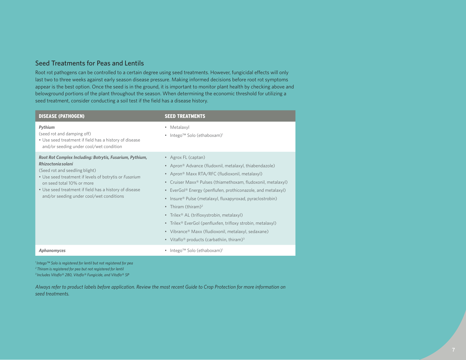### Seed Treatments for Peas and Lentils

Root rot pathogens can be controlled to a certain degree using seed treatments. However, fungicidal effects will only last two to three weeks against early season disease pressure. Making informed decisions before root rot symptoms appear is the best option. Once the seed is in the ground, it is important to monitor plant health by checking above and belowground portions of the plant throughout the season. When determining the economic threshold for utilizing a seed treatment, consider conducting a soil test if the field has a disease history.

| <b>DISEASE (PATHOGEN)</b>                                                                                                                                                                                                                                                                                     | <b>SEED TREATMENTS</b>                                                                                                                                                                                                                                                                                                                                                                                                                                                                                                                                                                                                                                                                                        |
|---------------------------------------------------------------------------------------------------------------------------------------------------------------------------------------------------------------------------------------------------------------------------------------------------------------|---------------------------------------------------------------------------------------------------------------------------------------------------------------------------------------------------------------------------------------------------------------------------------------------------------------------------------------------------------------------------------------------------------------------------------------------------------------------------------------------------------------------------------------------------------------------------------------------------------------------------------------------------------------------------------------------------------------|
| Pythium<br>(seed rot and damping off)<br>• Use seed treatment if field has a history of disease<br>and/or seeding under cool/wet condition                                                                                                                                                                    | • Metalaxyl<br>• Intego <sup>TM</sup> Solo (ethaboxam) <sup>1</sup>                                                                                                                                                                                                                                                                                                                                                                                                                                                                                                                                                                                                                                           |
| Root Rot Complex Including: Botrytis, Fusarium, Pythium,<br>Rhizoctonia solani<br>(Seed rot and seedling blight)<br>• Use seed treatment if levels of botrytis or Fusarium<br>on seed total 10% or more<br>• Use seed treatment if field has a history of disease<br>and/or seeding under cool/wet conditions | • Agrox FL (captan)<br>• Apron <sup>®</sup> Advance (fludoxnil, metalaxyl, thiabendazole)<br>• Apron <sup>®</sup> Maxx RTA/RFC (fludioxonil, metalaxyl)<br>Cruiser Maxx <sup>®</sup> Pulses (thiamethoxam, fludoxonil, metalaxyl)<br>$\bullet$<br>EverGol® Energy (penflufen, prothiconazole, and metalaxyl)<br>$\bullet$<br>Insure <sup>®</sup> Pulse (metalaxyl, fluxapyroxad, pyraclostrobin)<br>$\bullet$<br>Thiram (thiram) <sup>2</sup><br>• Trilex <sup>®</sup> AL (trifloxystrobin, metalaxyl)<br>• Trilex <sup>®</sup> EverGol (penfluxfen, trifloxy strobin, metalaxyl)<br>• Vibrance® Maxx (fludioxonil, metalaxyl, sedaxane)<br>• Vitaflo <sup>®</sup> products (carbathiin, thiram) <sup>3</sup> |
| Aphanomyces                                                                                                                                                                                                                                                                                                   | Intego™ Solo (ethaboxam) <sup>1</sup>                                                                                                                                                                                                                                                                                                                                                                                                                                                                                                                                                                                                                                                                         |

*1 Intego™ Solo is registered for lentil but not registered for pea 2 Thiram is registered for pea but not registered for lentil 3 Includes Vitaflo® 280, Vitaflo® Fungicide, and Vitaflo® SP*

*Always refer to product labels before application. Review the most recent Guide to Crop Protection for more information on seed treatments.*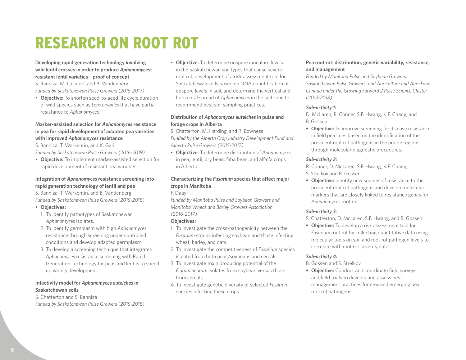# RESEARCH ON ROOT ROT

#### **Developing rapid generation technology involving wild lentil crosses in order to produce** *Aphanomyces***resistant lentil varieties – proof of concept**

S. Banniza, M. Lulsdorf, and B. Vandenberg *Funded by Saskatchewan Pulse Growers (2015-2017)*

• **Objective:** To shorten seed-to-seed life cycle duration of wild species such as *Lens ervoides* that have partial resistance to *Aphanomyces.*

#### **Marker-assisted selection for** *Aphanomyces* **resistance in pea for rapid development of adapted pea varieties with improved** *Aphanomyces* **resistance**

S. Banniza, T. Warkentin, and K. Gali

*Funded by Saskatchewan Pulse Growers (2016-2019)*

• **Objective:** To implement marker-assisted selection for rapid development of resistant pea varieties.

### **Integration of** *Aphanomyces* **resistance screening into rapid generation technology of lentil and pea**

S. Banniza, T. Warkentin, and B. Vandenberg *Funded by Saskatchewan Pulse Growers (2015-2018)*

#### • **Objectives:**

- 1. To identify pathotypes of Saskatchewan *Aphanomyces* isolates.
- 2. To identify germplasm with high *Aphanomyces* resistance through screening under controlled conditions and develop adapted germplasm.
- 3. To develop a screening technique that integrates *Aphanomyces* resistance screening with Rapid Generation Technology for peas and lentils to speed up variety development.

#### **Infectivity model for** *Aphanomyces euteiches* **in Saskatchewan soils**

S. Chatterton and S. Banniza *Funded by Saskatchewan Pulse Growers (2015-2018)* • **Objective:** To determine oospore inoculum levels in the Saskatchewan soil types that cause severe root rot, development of a risk assessment tool for Saskatchewan soils based on DNA quantification of oospore levels in soil, and determine the vertical and horizontal spread of *Aphanomyces* in the soil zone to recommend best soil sampling practices.

#### **Distribution of** *Aphanomyces euteiches* **in pulse and forage crops in Alberta**

S. Chatterton, M. Harding, and R. Bowness *Funded by the Alberta Crop Industry Development Fund and Alberta Pulse Growers (2015-2017)*

• **Objective:** To determine distribution of *Aphanomyces* in pea, lentil, dry bean, faba bean, and alfalfa crops in Alberta.

### **Characterizing the** *Fusarium* **species that affect major crops in Manitoba**

#### F. Daayf

*Funded by Manitoba Pulse and Soybean Growers and Manitoba Wheat and Barley Growers Association (2016-2017)* 

#### **Objectives:**

- 1. To investigate the cross-pathogenicity between the *Fusarium* strains infecting soybean and those infecting wheat, barley, and oats.
- 2. To investigate the competitiveness of *Fusarium* species isolated from both peas/soybeans and cereals.
- 3. To investigate toxin producing potential of the *F. graminearum* isolates from soybean versus those from cereals.
- 4. To investigate genetic diversity of selected *Fusarium* species infecting these crops.

#### **Pea root rot: distribution, genetic variability, resistance, and management**

*Funded by Manitoba Pulse and Soybean Growers, Saskatchewan Pulse Growers, and Agriculture and Agri-Food Canada under the Growing Forward 2 Pulse Science Cluster (2013-2018)*

#### *Sub-activity 1:*

D. McLaren, R. Conner, S.F. Hwang, K.F. Chang, and B. Gossen

**• Objective:** To improve screening for disease resistance in field pea lines based on the identification of the prevalent root rot pathogens in the prairie regions through molecular diagnostic procedures.

#### *Sub-activity 2:*

R. Conner, D. McLaren, S.F. Hwang, K.F. Chang, S. Strelkov and B. Gossen

**• Objective:** Identify new sources of resistance to the prevalent root rot pathogens and develop molecular markers that are closely linked to resistance genes for *Aphanomyces* root rot.

#### *Sub-activity 3:*

- S. Chatterton, D. McLaren, S.F. Hwang, and B. Gossen
- **• Objective:** To develop a risk assessment tool for *Fusarium* root rot by collecting quantitative data using molecular tools on soil and root rot pathogen levels to correlate with root rot severity data.

#### *Sub-activity 4:*

B. Gossen and S. Strelkov

**• Objective:** Conduct and coordinate field surveys and field trials to develop and assess best management practices for new and emerging pea root rot pathogens.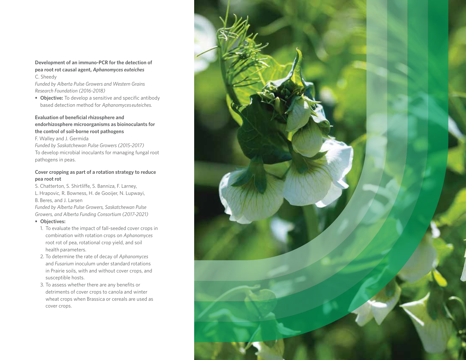#### **Development of an immuno-PCR for the detection of pea root rot causal agent,** *Aphanomyces euteiches* C. Sheedy

*Funded by Alberta Pulse Growers and Western Grains Research Foundation (2016-2018)*

**• Objective:** To develop a sensitive and specific antibody based detection method for *Aphanomyces euteiches.*

#### **Evaluation of beneficial rhizosphere and endorhizosphere microorganisms as bioinoculants for the control of soil-borne root pathogens**

F. Walley and J. Germida *Funded by Saskatchewan Pulse Growers (2015-2017)* To develop microbial inoculants for managing fungal root pathogens in peas.

#### **Cover cropping as part of a rotation strategy to reduce pea root rot**

S. Chatterton, S. Shirtliffe, S. Banniza, F. Larney, L. Hrapovic, R. Bowness, H. de Gooijer, N. Lupwayi, B. Beres, and J. Larsen

*Funded by Alberta Pulse Growers, Saskatchewan Pulse Growers, and Alberta Funding Consortium (2017-2021)*

#### **• Objectives:**

- 1. To evaluate the impact of fall-seeded cover crops in combination with rotation crops on *Aphanomyces* root rot of pea, rotational crop yield, and soil health parameters.
- 2. To determine the rate of decay of *Aphanomyces* and *Fusarium* inoculum under standard rotations in Prairie soils, with and without cover crops, and susceptible hosts.
- 3. To assess whether there are any benefits or detriments of cover crops to canola and winter wheat crops when Brassica or cereals are used as cover crops.